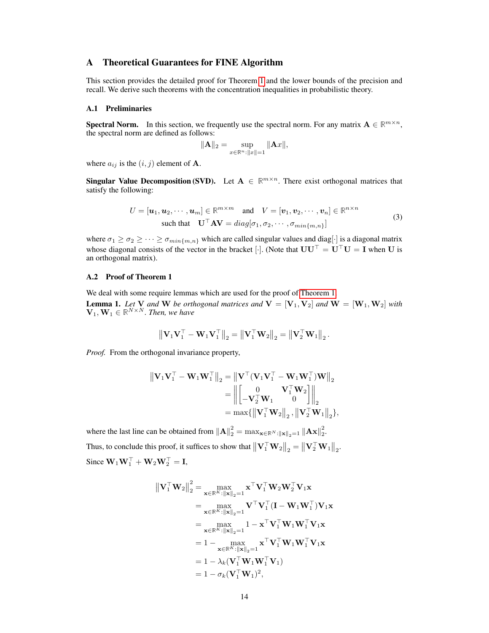# A Theoretical Guarantees for FINE Algorithm

This section provides the detailed proof for Theorem [1](#page-4-0) and the lower bounds of the precision and recall. We derive such theorems with the concentration inequalities in probabilistic theory.

#### A.1 Preliminaries

**Spectral Norm.** In this section, we frequently use the spectral norm. For any matrix  $A \in \mathbb{R}^{m \times n}$ , the spectral norm are defined as follows:

$$
\|\mathbf{A}\|_2 = \sup_{x \in \mathbb{R}^n : \|x\| = 1} \|\mathbf{A}x\|,
$$

where  $a_{ij}$  is the  $(i, j)$  element of **A**.

**Singular Value Decomposition (SVD).** Let  $A \in \mathbb{R}^{m \times n}$ . There exist orthogonal matrices that satisfy the following:

$$
U = [\boldsymbol{u}_1, \boldsymbol{u}_2, \cdots, \boldsymbol{u}_m] \in \mathbb{R}^{m \times m} \text{ and } V = [\boldsymbol{v}_1, \boldsymbol{v}_2, \cdots, \boldsymbol{v}_n] \in \mathbb{R}^{n \times n}
$$
  
such that 
$$
\mathbf{U}^\top \mathbf{A} \mathbf{V} = diag[\sigma_1, \sigma_2, \cdots, \sigma_{min\{m, n\}}]
$$
 (3)

where  $\sigma_1 \ge \sigma_2 \ge \cdots \ge \sigma_{min\{m,n\}}$  which are called singular values and diag[ $\cdot$ ] is a diagonal matrix whose diagonal consists of the vector in the bracket [·]. (Note that  $UU^{\top} = U^{\top}U = I$  when U is an orthogonal matrix).

# A.2 Proof of Theorem 1

We deal with some require lemmas which are used for the proof of [Theorem 1.](#page-4-0)

**Lemma 1.** Let **V** and **W** be orthogonal matrices and  $V = [V_1, V_2]$  and  $W = [W_1, W_2]$  with  $\mathbf{V}_1, \mathbf{W}_1 \in \mathbb{R}^{N \times N}$ . Then, we have

$$
\left\| \mathbf{V}_1\mathbf{V}_1^\top - \mathbf{W}_1\mathbf{V}_1^\top \right\|_2 = \left\| \mathbf{V}_1^\top \mathbf{W}_2 \right\|_2 = \left\| \mathbf{V}_2^\top \mathbf{W}_1 \right\|_2.
$$

*Proof.* From the orthogonal invariance property,

$$
\begin{aligned} \left\| \mathbf{V}_1 \mathbf{V}_1^\top - \mathbf{W}_1 \mathbf{W}_1^\top \right\|_2 &= \left\| \mathbf{V}^\top (\mathbf{V}_1 \mathbf{V}_1^\top - \mathbf{W}_1 \mathbf{W}_1^\top) \mathbf{W} \right\|_2 \\ &= \left\| \begin{bmatrix} 0 & \mathbf{V}_1^\top \mathbf{W}_2 \\ -\mathbf{V}_2^\top \mathbf{W}_1 & 0 \end{bmatrix} \right\|_2 \\ &= \max \{ \left\| \mathbf{V}_1^\top \mathbf{W}_2 \right\|_2, \left\| \mathbf{V}_2^\top \mathbf{W}_1 \right\|_2 \}, \end{aligned}
$$

where the last line can be obtained from  $||\mathbf{A}||_2^2 = \max_{\mathbf{x} \in \mathbb{R}^N : ||\mathbf{x}||_2 = 1} ||\mathbf{A}\mathbf{x}||_2^2$ . Thus, to conclude this proof, it suffices to show that  $\left\|\mathbf{V}_1^\top \mathbf{W}_2\right\|_2 = \left\|\mathbf{V}_2^\top \mathbf{W}_1\right\|_2$ . Since  $\mathbf{W}_1 \mathbf{W}_1^\top + \mathbf{W}_2 \mathbf{W}_2^\top = \mathbf{I}$ ,

$$
\begin{aligned}\n\left\|\mathbf{V}_{1}^{\top}\mathbf{W}_{2}\right\|_{2}^{2} &= \max_{\mathbf{x}\in\mathbb{R}^{K}:\|\mathbf{x}\|_{2}=1} \mathbf{x}^{\top}\mathbf{V}_{1}^{\top}\mathbf{W}_{2}\mathbf{W}_{2}^{\top}\mathbf{V}_{1}\mathbf{x} \\
&= \max_{\mathbf{x}\in\mathbb{R}^{K}:\|\mathbf{x}\|_{2}=1} \mathbf{V}^{\top}\mathbf{V}_{1}^{\top}(\mathbf{I}-\mathbf{W}_{1}\mathbf{W}_{1}^{\top})\mathbf{V}_{1}\mathbf{x} \\
&= \max_{\mathbf{x}\in\mathbb{R}^{K}:\|\mathbf{x}\|_{2}=1} 1 - \mathbf{x}^{\top}\mathbf{V}_{1}^{\top}\mathbf{W}_{1}\mathbf{W}_{1}^{\top}\mathbf{V}_{1}\mathbf{x} \\
&= 1 - \max_{\mathbf{x}\in\mathbb{R}^{K}:\|\mathbf{x}\|_{2}=1} \mathbf{x}^{\top}\mathbf{V}_{1}^{\top}\mathbf{W}_{1}\mathbf{W}_{1}^{\top}\mathbf{V}_{1}\mathbf{x} \\
&= 1 - \lambda_{k}(\mathbf{V}_{1}^{\top}\mathbf{W}_{1}\mathbf{W}_{1}^{\top}\mathbf{V}_{1}) \\
&= 1 - \sigma_{k}(\mathbf{V}_{1}^{\top}\mathbf{W}_{1})^{2},\n\end{aligned}
$$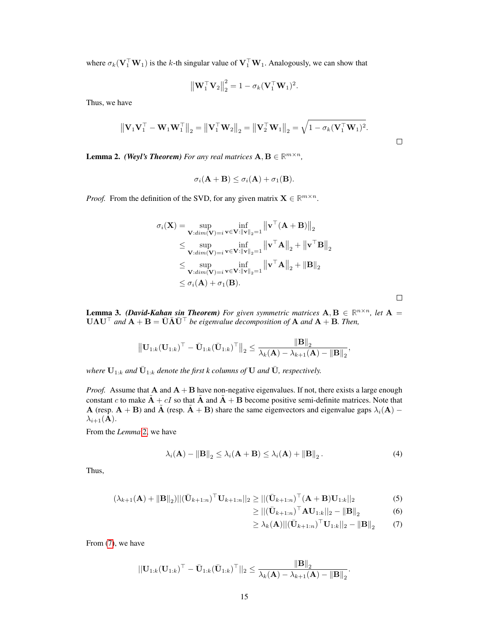where  $\sigma_k(\mathbf{V}_1^{\top}\mathbf{W}_1)$  is the k-th singular value of  $\mathbf{V}_1^{\top}\mathbf{W}_1$ . Analogously, we can show that

$$
\left\|\mathbf{W}_1^\top \mathbf{V}_2\right\|_2^2 = 1 - \sigma_k(\mathbf{V}_1^\top \mathbf{W}_1)^2.
$$

Thus, we have

$$
\left\|\mathbf{V}_1\mathbf{V}_1^\top-\mathbf{W}_1\mathbf{W}_1^\top\right\|_2 = \left\|\mathbf{V}_1^\top\mathbf{W}_2\right\|_2 = \left\|\mathbf{V}_2^\top\mathbf{W}_1\right\|_2 = \sqrt{1-\sigma_k(\mathbf{V}_1^\top\mathbf{W}_1)^2}.
$$

**Lemma 2.** *(Weyl's Theorem) For any real matrices*  $\mathbf{A}, \mathbf{B} \in \mathbb{R}^{m \times n}$ *,* 

$$
\sigma_i(\mathbf{A} + \mathbf{B}) \leq \sigma_i(\mathbf{A}) + \sigma_1(\mathbf{B}).
$$

*Proof.* From the definition of the SVD, for any given matrix  $X \in \mathbb{R}^{m \times n}$ .

$$
\sigma_i(\mathbf{X}) = \sup_{\mathbf{V}:dim(\mathbf{V})=i} \inf_{\mathbf{v} \in \mathbf{V}: \|\mathbf{v}\|_2 = 1} \left\| \mathbf{v}^\top (\mathbf{A} + \mathbf{B}) \right\|_2
$$
  
\n
$$
\leq \sup_{\mathbf{V}:dim(\mathbf{V})=i} \inf_{\mathbf{v} \in \mathbf{V}: \|\mathbf{v}\|_2 = 1} \left\| \mathbf{v}^\top \mathbf{A} \right\|_2 + \left\| \mathbf{v}^\top \mathbf{B} \right\|_2
$$
  
\n
$$
\leq \sup_{\mathbf{V}:dim(\mathbf{V})=i} \inf_{\mathbf{v} \in \mathbf{V}: \|\mathbf{v}\|_2 = 1} \left\| \mathbf{v}^\top \mathbf{A} \right\|_2 + \left\| \mathbf{B} \right\|_2
$$
  
\n
$$
\leq \sigma_i(\mathbf{A}) + \sigma_1(\mathbf{B}).
$$

**Lemma 3.** *(David-Kahan sin Theorem) For given symmetric matrices*  $A, B \in \mathbb{R}^{n \times n}$ *, let*  $A =$  $U\Lambda U^{\top}$  and  $\mathbf{A} + \mathbf{B} = \bar{\mathbf{U}} \bar{\mathbf{\Lambda}} \bar{\mathbf{U}}^{\top}$  *be eigenvalue decomposition of*  $\mathbf{A}$  *and*  $\mathbf{A} + \mathbf{B}$ *. Then,* 

$$
\left\| \mathbf{U}_{1:k}(\mathbf{U}_{1:k})^\top - \bar{\mathbf{U}}_{1:k}(\bar{\mathbf{U}}_{1:k})^\top \right\|_2 \leq \frac{\left\| \mathbf{B} \right\|_2}{\lambda_k(\mathbf{A}) - \lambda_{k+1}(\mathbf{A}) - \left\| \mathbf{B} \right\|_2},
$$

where  $\mathbf{U}_{1:k}$  and  $\bar{\mathbf{U}}_{1:k}$  denote the first k columns of  $\mathbf{U}$  and  $\bar{\mathbf{U}}$ , respectively.

*Proof.* Assume that  $A$  and  $A + B$  have non-negative eigenvalues. If not, there exists a large enough constant c to make  $\tilde{A} + cI$  so that  $\tilde{A}$  and  $\tilde{A} + B$  become positive semi-definite matrices. Note that A (resp. A + B) and  $\tilde{A}$  (resp.  $\tilde{A}$  + B) share the same eigenvectors and eigenvalue gaps  $\lambda_i(A)$  –  $\lambda_{i+1}(\mathbf{A}).$ 

From the *Lemma* 2, we have

$$
\lambda_i(\mathbf{A}) - \|\mathbf{B}\|_2 \leq \lambda_i(\mathbf{A} + \mathbf{B}) \leq \lambda_i(\mathbf{A}) + \|\mathbf{B}\|_2.
$$
 (4)

Thus,

$$
(\lambda_{k+1}(\mathbf{A}) + ||\mathbf{B}||_2)||(\bar{\mathbf{U}}_{k+1:n})^{\top}\mathbf{U}_{k+1:n}||_2 \ge ||(\bar{\mathbf{U}}_{k+1:n})^{\top}(\mathbf{A} + \mathbf{B})\mathbf{U}_{1:k}||_2
$$
\n(5)

$$
\geq ||(\bar{\mathbf{U}}_{k+1:n})^{\top} \mathbf{A} \mathbf{U}_{1:k}||_2 - ||\mathbf{B}||_2 \tag{6}
$$

 $\Box$ 

 $\Box$ 

$$
\geq \lambda_k(\mathbf{A}) ||(\bar{\mathbf{U}}_{k+1:n})^{\top} \mathbf{U}_{1:k}||_2 - \|\mathbf{B}\|_2 \tag{7}
$$

From (7), we have

$$
||\mathbf{U}_{1:k}(\mathbf{U}_{1:k})^{\top} - \bar{\mathbf{U}}_{1:k}(\bar{\mathbf{U}}_{1:k})^{\top}||_2 \leq \frac{||\mathbf{B}||_2}{\lambda_k(\mathbf{A}) - \lambda_{k+1}(\mathbf{A}) - ||\mathbf{B}||_2}.
$$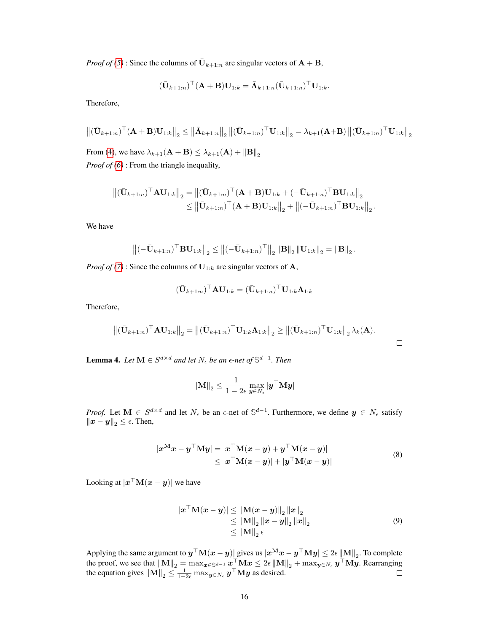*Proof of (5)*: Since the columns of  $\overline{U}_{k+1:n}$  are singular vectors of  $A + B$ ,

$$
(\bar{\mathbf{U}}_{k+1:n})^{\top} (\mathbf{A} + \mathbf{B}) \mathbf{U}_{1:k} = \bar{\mathbf{\Lambda}}_{k+1:n} (\bar{\mathbf{U}}_{k+1:n})^{\top} \mathbf{U}_{1:k}.
$$

Therefore,

$$
\left\| \left( \bar{\mathbf{U}}_{k+1:n} \right)^\top (\mathbf{A} + \mathbf{B}) \mathbf{U}_{1:k} \right\|_2 \leq \left\| \bar{\mathbf{\Lambda}}_{k+1:n} \right\|_2 \left\| \left( \bar{\mathbf{U}}_{k+1:n} \right)^\top \mathbf{U}_{1:k} \right\|_2 = \lambda_{k+1} (\mathbf{A} + \mathbf{B}) \left\| \left( \bar{\mathbf{U}}_{k+1:n} \right)^\top \mathbf{U}_{1:k} \right\|_2
$$
  
From (4), we have  $\lambda_{k+1} (\mathbf{A} + \mathbf{B}) \leq \lambda_{k+1} (\mathbf{A}) + \|\mathbf{B}\|_2$ 

*Proof of (6)* : From the triangle inequality,

$$
\begin{aligned} \left\| (\bar{\mathbf{U}}_{k+1:n})^{\top} \mathbf{A} \mathbf{U}_{1:k} \right\|_2 &= \left\| (\bar{\mathbf{U}}_{k+1:n})^{\top} (\mathbf{A} + \mathbf{B}) \mathbf{U}_{1:k} + (-\bar{\mathbf{U}}_{k+1:n})^{\top} \mathbf{B} \mathbf{U}_{1:k} \right\|_2 \\ &\leq \left\| \bar{\mathbf{U}}_{k+1:n} \right)^{\top} (\mathbf{A} + \mathbf{B}) \mathbf{U}_{1:k} \right\|_2 + \left\| (-\bar{\mathbf{U}}_{k+1:n})^{\top} \mathbf{B} \mathbf{U}_{1:k} \right\|_2. \end{aligned}
$$

We have

$$
\left\| \left( -\bar{\mathbf{U}}_{k+1:n} \right)^{\top} \mathbf{B} \mathbf{U}_{1:k} \right\|_2 \le \left\| \left( -\bar{\mathbf{U}}_{k+1:n} \right)^{\top} \right\|_2 \left\| \mathbf{B} \right\|_2 \left\| \mathbf{U}_{1:k} \right\|_2 = \left\| \mathbf{B} \right\|_2.
$$

*Proof of (7)* : Since the columns of  $U_{1:k}$  are singular vectors of A,

$$
(\bar{\mathbf{U}}_{k+1:n})^{\top} \mathbf{A} \mathbf{U}_{1:k} = (\bar{\mathbf{U}}_{k+1:n})^{\top} \mathbf{U}_{1:k} \mathbf{\Lambda}_{1:k}
$$

Therefore,

$$
\left\| (\bar{\mathbf{U}}_{k+1:n})^{\top} \mathbf{A} \mathbf{U}_{1:k} \right\|_2 = \left\| (\bar{\mathbf{U}}_{k+1:n})^{\top} \mathbf{U}_{1:k} \mathbf{\Lambda}_{1:k} \right\|_2 \ge \left\| (\bar{\mathbf{U}}_{k+1:n})^{\top} \mathbf{U}_{1:k} \right\|_2 \lambda_k(\mathbf{A}).
$$

**Lemma 4.** Let  $M \in S^{d \times d}$  and let  $N_{\epsilon}$  be an  $\epsilon$ -net of  $\mathbb{S}^{d-1}$ . Then

$$
\left\|\mathbf{M}\right\|_2 \leq \frac{1}{1-2\epsilon}\max_{\bm{y} \in N_{\epsilon}}|\bm{y}^{\top}\mathbf{M}\bm{y}|
$$

*Proof.* Let  $M \in S^{d \times d}$  and let  $N_{\epsilon}$  be an  $\epsilon$ -net of  $\mathbb{S}^{d-1}$ . Furthermore, we define  $y \in N_{\epsilon}$  satisfy  $\left\|x-y\right\|_2 \leq \epsilon$ . Then,

$$
|\boldsymbol{x}^{\mathbf{M}}\boldsymbol{x} - \boldsymbol{y}^{\top}\mathbf{M}\boldsymbol{y}| = |\boldsymbol{x}^{\top}\mathbf{M}(\boldsymbol{x} - \boldsymbol{y}) + \boldsymbol{y}^{\top}\mathbf{M}(\boldsymbol{x} - \boldsymbol{y})|
$$
  
\$\leq |\boldsymbol{x}^{\top}\mathbf{M}(\boldsymbol{x} - \boldsymbol{y})| + |\boldsymbol{y}^{\top}\mathbf{M}(\boldsymbol{x} - \boldsymbol{y})|\$ (8)

Looking at  $|x^{\top}M(x-y)|$  we have

$$
|\boldsymbol{x}^{\top} \mathbf{M}(\boldsymbol{x} - \boldsymbol{y})| \leq ||\mathbf{M}(\boldsymbol{x} - \boldsymbol{y})||_2 ||\boldsymbol{x}||_2
$$
  
\n
$$
\leq ||\mathbf{M}||_2 ||\boldsymbol{x} - \boldsymbol{y}||_2 ||\boldsymbol{x}||_2
$$
  
\n
$$
\leq ||\mathbf{M}||_2 \epsilon
$$
\n(9)

Applying the same argument to  $y^\top \mathbf{M} (x-y)$  gives us  $|x^\mathbf{M} x - y^\top \mathbf{M} y| \leq 2\epsilon \left\| \mathbf{M} \right\|_2$ . To complete the proof, we see that  $\|\mathbf{M}\|_2 = \max_{\mathbf{x} \in \mathbb{S}^{d-1}} \mathbf{x}^\top \mathbf{M} \mathbf{x} \leq 2\epsilon \|\mathbf{M}\|_2 + \max_{\mathbf{y} \in N_{\epsilon}} \mathbf{y}^\top \mathbf{M} \mathbf{y}$ . Rearranging the equation gives  $\|\mathbf{M}\|_2 \leq \frac{1}{1-2\epsilon} \max_{\mathbf{y} \in N_{\epsilon}} \mathbf{y}^\top \mathbf{M} \mathbf{y}$  as desired.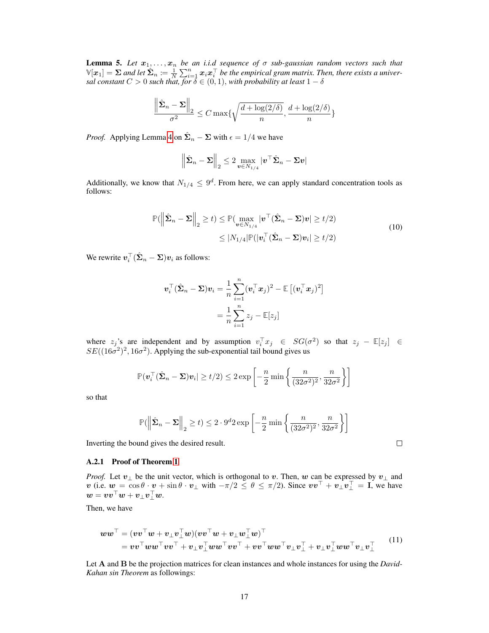<span id="page-3-0"></span>**Lemma 5.** Let  $x_1, \ldots, x_n$  be an i.i.d sequence of  $\sigma$  sub-gaussian random vectors such that  $\mathbb{V}[x_1]=\Sigma$  and let  $\hat{\Sigma}_n\coloneqq\frac{1}{N}\sum_{i=1}^n x_ix_i^\top$  be the empirical gram matrix. Then, there exists a univer*sal constant*  $C > 0$  *such that, for*  $\bar{\delta} \in (0,1)$ *, with probability at least*  $1 - \delta$ 

$$
\frac{\left\|\hat{\boldsymbol{\Sigma}}_n-\boldsymbol{\Sigma}\right\|_2}{\sigma^2}\leq C\max\{\sqrt{\frac{d+\log(2/\delta)}{n}},\frac{d+\log(2/\delta)}{n}\}
$$

*Proof.* Applying Lemma 4 on  $\hat{\Sigma}_n - \Sigma$  with  $\epsilon = 1/4$  we have

$$
\left\| \hat{\boldsymbol{\Sigma}}_n - \boldsymbol{\Sigma} \right\|_2 \leq 2 \max_{\boldsymbol{v} \in N_{1/4}} |\boldsymbol{v}^\top \hat{\boldsymbol{\Sigma}}_n - \boldsymbol{\Sigma} \boldsymbol{v}|
$$

Additionally, we know that  $N_{1/4} \leq 9^d$ . From here, we can apply standard concentration tools as follows:

$$
\mathbb{P}(\left\|\hat{\boldsymbol{\Sigma}}_n - \boldsymbol{\Sigma}\right\|_2 \ge t) \le \mathbb{P}(\max_{\boldsymbol{v} \in N_{1/4}} |\boldsymbol{v}^\top(\hat{\boldsymbol{\Sigma}}_n - \boldsymbol{\Sigma})\boldsymbol{v}| \ge t/2) \le |N_{1/4}|\mathbb{P}(|\boldsymbol{v}_i^\top(\hat{\boldsymbol{\Sigma}}_n - \boldsymbol{\Sigma})\boldsymbol{v}_i| \ge t/2)
$$
\n(10)

We rewrite  $\boldsymbol{v}_i^\top (\hat{\boldsymbol{\Sigma}}_n - \boldsymbol{\Sigma}) \boldsymbol{v}_i$  as follows:

$$
\boldsymbol{v}_i^{\top} (\hat{\boldsymbol{\Sigma}}_n - \boldsymbol{\Sigma}) \boldsymbol{v}_i = \frac{1}{n} \sum_{i=1}^n (\boldsymbol{v}_i^{\top} \boldsymbol{x}_j)^2 - \mathbb{E} \left[ (\boldsymbol{v}_i^{\top} \boldsymbol{x}_j)^2 \right] \\ = \frac{1}{n} \sum_{i=1}^n z_j - \mathbb{E}[z_j]
$$

where  $z_j$ 's are independent and by assumption  $v_i^\top x_j \in SG(\sigma^2)$  so that  $z_j - \mathbb{E}[z_j] \in$  $SE((16\sigma^2)^2, 16\sigma^2)$ . Applying the sub-exponential tail bound gives us

$$
\mathbb{P}(\boldsymbol{v}_i^{\top}(\hat{\boldsymbol{\Sigma}}_n - \boldsymbol{\Sigma})\boldsymbol{v}_i | \ge t/2) \le 2 \exp\left[-\frac{n}{2}\min\left\{\frac{n}{(32\sigma^2)^2}, \frac{n}{32\sigma^2}\right\}\right]
$$

so that

$$
\mathbb{P}\left(\left\|\hat{\mathbf{\Sigma}}_n - \mathbf{\Sigma}\right\|_2 \ge t\right) \le 2 \cdot 9^d 2 \exp\left[-\frac{n}{2} \min\left\{\frac{n}{(32\sigma^2)^2}, \frac{n}{32\sigma^2}\right\}\right]
$$

 $\Box$ 

Inverting the bound gives the desired result.

#### A.2.1 Proof of Theorem [1](#page-4-0)

*Proof.* Let  $v_{\perp}$  be the unit vector, which is orthogonal to v. Then, w can be expressed by  $v_{\perp}$  and  $v$  (i.e.  $w = \cos \theta \cdot v + \sin \theta \cdot v_{\perp}$  with  $-\pi/2 \le \theta \le \pi/2$ ). Since  $vv^{\top} + v_{\perp}v_{\perp}^{\top} = I$ , we have  $\boldsymbol{w} = \boldsymbol{v}\boldsymbol{v}^\top \boldsymbol{w} + \boldsymbol{v}_\perp \boldsymbol{v}_\perp^\top \boldsymbol{w}.$ 

Then, we have

$$
\boldsymbol{w}\boldsymbol{w}^{\top} = (\boldsymbol{v}\boldsymbol{v}^{\top}\boldsymbol{w} + \boldsymbol{v}_{\perp}\boldsymbol{v}_{\perp}^{\top}\boldsymbol{w})(\boldsymbol{v}\boldsymbol{v}^{\top}\boldsymbol{w} + \boldsymbol{v}_{\perp}\boldsymbol{w}_{\perp}^{\top}\boldsymbol{w})^{\top} \n= \boldsymbol{v}\boldsymbol{v}^{\top}\boldsymbol{w}\boldsymbol{w}^{\top}\boldsymbol{v}\boldsymbol{v}^{\top} + \boldsymbol{v}_{\perp}\boldsymbol{v}_{\perp}^{\top}\boldsymbol{w}\boldsymbol{w}^{\top}\boldsymbol{v}\boldsymbol{v}^{\top} + \boldsymbol{v}\boldsymbol{v}^{\top}\boldsymbol{w}\boldsymbol{w}^{\top}\boldsymbol{v}_{\perp}\boldsymbol{v}_{\perp}^{\top} + \boldsymbol{v}_{\perp}\boldsymbol{v}_{\perp}^{\top}\boldsymbol{w}\boldsymbol{w}^{\top}\boldsymbol{v}_{\perp}\boldsymbol{v}_{\perp}^{\top}
$$
\n(11)

Let A and B be the projection matrices for clean instances and whole instances for using the *David-Kahan sin Theorem* as followings: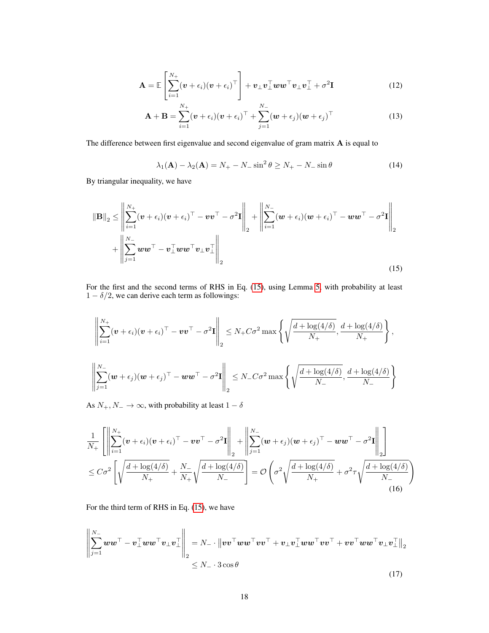<span id="page-4-0"></span>
$$
\mathbf{A} = \mathbb{E}\left[\sum_{i=1}^{N_{+}} (\boldsymbol{v} + \epsilon_{i})(\boldsymbol{v} + \epsilon_{i})^{\top}\right] + \boldsymbol{v}_{\perp}\boldsymbol{v}_{\perp}^{\top}\boldsymbol{w}\boldsymbol{w}^{\top}\boldsymbol{v}_{\perp}\boldsymbol{v}_{\perp}^{\top} + \sigma^{2}\mathbf{I}
$$
\n(12)

$$
\mathbf{A} + \mathbf{B} = \sum_{i=1}^{N_+} (\boldsymbol{v} + \epsilon_i)(\boldsymbol{v} + \epsilon_i)^{\top} + \sum_{j=1}^{N_-} (\boldsymbol{w} + \epsilon_j)(\boldsymbol{w} + \epsilon_j)^{\top}
$$
(13)

The difference between first eigenvalue and second eigenvalue of gram matrix A is equal to

$$
\lambda_1(\mathbf{A}) - \lambda_2(\mathbf{A}) = N_+ - N_- \sin^2 \theta \ge N_+ - N_- \sin \theta \tag{14}
$$

By triangular inequality, we have

$$
\|\mathbf{B}\|_2 \le \left\|\sum_{i=1}^{N_+} (\boldsymbol{v} + \epsilon_i)(\boldsymbol{v} + \epsilon_i)^\top - \boldsymbol{v}\boldsymbol{v}^\top - \sigma^2 \mathbf{I}\right\|_2 + \left\|\sum_{i=1}^{N_-} (\boldsymbol{w} + \epsilon_i)(\boldsymbol{w} + \epsilon_i)^\top - \boldsymbol{w}\boldsymbol{w}^\top - \sigma^2 \mathbf{I}\right\|_2 + \left\|\sum_{i=1}^{N_-} \boldsymbol{w}\boldsymbol{w}^\top - \boldsymbol{v}_\perp^\top \boldsymbol{w}\boldsymbol{w}^\top \boldsymbol{v}_\perp \boldsymbol{v}_\perp^\top\right\|_2
$$
\n(15)

For the first and the second terms of RHS in Eq. (15), using Lemma 5, with probability at least  $1 - \delta/2$ , we can derive each term as followings:

$$
\left\| \sum_{i=1}^{N_+} (\boldsymbol{v} + \epsilon_i)(\boldsymbol{v} + \epsilon_i)^\top - \boldsymbol{v}\boldsymbol{v}^\top - \sigma^2 \mathbf{I} \right\|_2 \leq N_+ C \sigma^2 \max \left\{ \sqrt{\frac{d + \log(4/\delta)}{N_+}}, \frac{d + \log(4/\delta)}{N_+} \right\},
$$
  

$$
\left\| \sum_{j=1}^{N_-} (\boldsymbol{w} + \epsilon_j)(\boldsymbol{w} + \epsilon_j)^\top - \boldsymbol{w}\boldsymbol{w}^\top - \sigma^2 \mathbf{I} \right\|_2 \leq N_- C \sigma^2 \max \left\{ \sqrt{\frac{d + \log(4/\delta)}{N_-}}, \frac{d + \log(4/\delta)}{N_-} \right\}
$$

As  $N_+, N_- \to \infty$ , with probability at least  $1 - \delta$ 

$$
\frac{1}{N_+} \left[ \left\| \sum_{i=1}^{N_+} (\boldsymbol{v} + \epsilon_i) (\boldsymbol{v} + \epsilon_i)^\top - \boldsymbol{v} \boldsymbol{v}^\top - \sigma^2 \mathbf{I} \right\|_2 + \left\| \sum_{j=1}^{N_-} (\boldsymbol{w} + \epsilon_j) (\boldsymbol{w} + \epsilon_j)^\top - \boldsymbol{w} \boldsymbol{w}^\top - \sigma^2 \mathbf{I} \right\|_2 \right]
$$
  

$$
\leq C \sigma^2 \left[ \sqrt{\frac{d + \log(4/\delta)}{N_+}} + \frac{N_-}{N_+} \sqrt{\frac{d + \log(4/\delta)}{N_-}} \right] = \mathcal{O}\left( \sigma^2 \sqrt{\frac{d + \log(4/\delta)}{N_+}} + \sigma^2 \tau \sqrt{\frac{d + \log(4/\delta)}{N_-}} \right)
$$
(16)

For the third term of RHS in Eq. (15), we have

$$
\left\| \sum_{j=1}^{N_{-}} w w^{\top} - v_{\perp}^{\top} w w^{\top} v_{\perp} v_{\perp}^{\top} \right\|_{2} = N_{-} \cdot \left\| v v^{\top} w w^{\top} v v^{\top} + v_{\perp} v_{\perp}^{\top} w w^{\top} v v^{\top} + v v^{\top} w w^{\top} v_{\perp} v_{\perp}^{\top} \right\|_{2} \leq N_{-} \cdot 3 \cos \theta
$$
\n(17)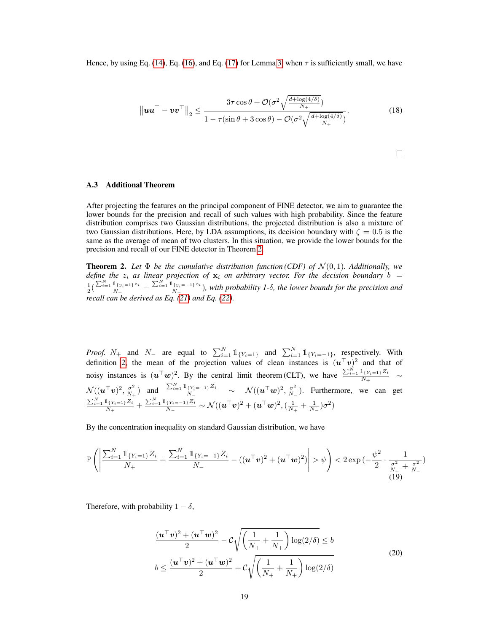Hence, by using Eq. (14), Eq. (16), and Eq. (17) for Lemma 3, when  $\tau$  is sufficiently small, we have

$$
\|\boldsymbol{u}\boldsymbol{u}^{\top} - \boldsymbol{v}\boldsymbol{v}^{\top}\|_{2} \leq \frac{3\tau\cos\theta + \mathcal{O}(\sigma^{2}\sqrt{\frac{d + \log(4/\delta)}{N_{+}}})}{1 - \tau(\sin\theta + 3\cos\theta) - \mathcal{O}(\sigma^{2}\sqrt{\frac{d + \log(4/\delta)}{N_{+}}})}.
$$
(18)

$$
\qquad \qquad \Box
$$

## A.3 Additional Theorem

After projecting the features on the principal component of FINE detector, we aim to guarantee the lower bounds for the precision and recall of such values with high probability. Since the feature distribution comprises two Gaussian distributions, the projected distribution is also a mixture of two Gaussian distributions. Here, by LDA assumptions, its decision boundary with  $\zeta = 0.5$  is the same as the average of mean of two clusters. In this situation, we provide the lower bounds for the precision and recall of our FINE detector in Theorem 2.

**Theorem 2.** Let  $\Phi$  be the cumulative distribution function (CDF) of  $\mathcal{N}(0, 1)$ . Additionally, we *define the*  $z_i$  *as linear projection of*  $\mathbf{x}_i$  *on arbitrary vector. For the decision boundary*  $b =$  $\frac{1}{2}(\frac{\sum_{i=1}^{N}1_{\{y_{i}=1\}}z_{i}}{N_{+}}+\frac{\sum_{i=1}^{N}1_{\{y_{i}=-1\}}z_{i}}{N_{-}})$ , with probability 1-δ, the lower bounds for the precision and *recall can be derived as Eq. (21) and Eq. (22).*

*Proof.*  $N_+$  and  $N_-$  are equal to  $\sum_{i=1}^{N} 1 \mathbb{1}_{\{Y_i = 1\}}$  and  $\sum_{i=1}^{N} 1 \mathbb{1}_{\{Y_i = -1\}}$ , respectively. With definition [2,](#page-3-0) the mean of the projection values of clean instances is  $(u<sup>T</sup>v)<sup>2</sup>$  and that of noisy instances is  $(u^{\top}w)^2$ . By the central limit theorem (CLT), we have  $\frac{\sum_{i=1}^{N} 1_{\{Y_i=1\}} Z_i}{N_+} \sim$  $\mathcal{N}((\boldsymbol{u}^{\top}\boldsymbol{v})^2,\frac{\sigma^2}{N}$  $\frac{\sigma^2}{N_+}$ ) and  $\frac{\sum_{i=1}^N \mathbb{1}_{\{Y_i=-1\}}Z_i}{N_-} \sim \mathcal{N}((\boldsymbol{u}^\top \boldsymbol{w})^2, \frac{\sigma^2}{N_-})$  $\frac{\sigma^2}{N_-}$ ). Furthermore, we can get  $\frac{\sum_{i=1}^N 1_{\{Y_i=1\}}Z_i}{N_+}+\frac{\sum_{i=1}^N 1_{\{Y_i=-1\}}Z_i}{N_-}\sim \mathcal{N}((\bm{u}^\top \bm{v})^2+(\bm{u}^\top \bm{w})^2, (\frac{1}{N_+}+\frac{1}{N_-})\sigma^2)$ 

By the concentration inequality on standard Gaussian distribution, we have

$$
\mathbb{P}\left(\left|\frac{\sum_{i=1}^{N} \mathbb{1}_{\{Y_i=1\}} Z_i}{N_+} + \frac{\sum_{i=1}^{N} \mathbb{1}_{\{Y_i=-1\}} Z_i}{N_-} - ((\mathbf{u}^\top \mathbf{v})^2 + (\mathbf{u}^\top \mathbf{w})^2)\right| > \psi\right) < 2 \exp\left(-\frac{\psi^2}{2} \cdot \frac{1}{\frac{\sigma^2}{N_+} + \frac{\sigma^2}{N_-}}\right)
$$
(19)

Therefore, with probability  $1 - \delta$ ,

$$
\frac{(\boldsymbol{u}^{\top}\boldsymbol{v})^2 + (\boldsymbol{u}^{\top}\boldsymbol{w})^2}{2} - C\sqrt{\left(\frac{1}{N_+} + \frac{1}{N_+}\right)\log(2/\delta)} \le b
$$
  

$$
b \le \frac{(\boldsymbol{u}^{\top}\boldsymbol{v})^2 + (\boldsymbol{u}^{\top}\boldsymbol{w})^2}{2} + C\sqrt{\left(\frac{1}{N_+} + \frac{1}{N_+}\right)\log(2/\delta)}
$$
(20)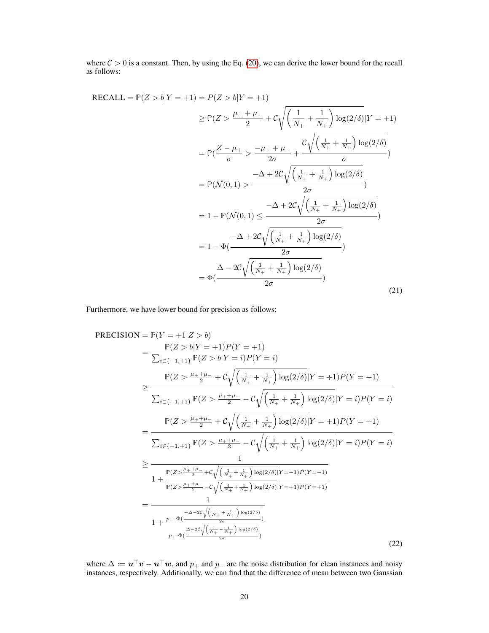<span id="page-6-0"></span>where  $C > 0$  is a constant. Then, by using the Eq. (20), we can derive the lower bound for the recall as follows:

$$
\begin{split} \text{RECALL} &= \mathbb{P}(Z > b|Y = +1) = P(Z > b|Y = +1) \\ &\geq \mathbb{P}(Z > \frac{\mu_{+} + \mu_{-}}{2} + \mathcal{C}\sqrt{\left(\frac{1}{N_{+}} + \frac{1}{N_{+}}\right)\log(2/\delta)}|Y = +1) \\ &= \mathbb{P}\left(\frac{Z - \mu_{+}}{\sigma} > \frac{-\mu_{+} + \mu_{-}}{2\sigma} + \frac{\mathcal{C}\sqrt{\left(\frac{1}{N_{+}} + \frac{1}{N_{+}}\right)\log(2/\delta)}}{\sigma}\right) \\ &= \mathbb{P}(\mathcal{N}(0, 1) > \frac{-\Delta + 2\mathcal{C}\sqrt{\left(\frac{1}{N_{+}} + \frac{1}{N_{+}}\right)\log(2/\delta)}}{2\sigma} \\ &= 1 - \mathbb{P}(\mathcal{N}(0, 1) \leq \frac{-\Delta + 2\mathcal{C}\sqrt{\left(\frac{1}{N_{+}} + \frac{1}{N_{+}}\right)\log(2/\delta)}}{2\sigma}) \\ &= 1 - \Phi\left(\frac{-\Delta + 2\mathcal{C}\sqrt{\left(\frac{1}{N_{+}} + \frac{1}{N_{+}}\right)\log(2/\delta)}}{2\sigma}\right) \\ &= \Phi\left(\frac{\Delta - 2\mathcal{C}\sqrt{\left(\frac{1}{N_{+}} + \frac{1}{N_{+}}\right)\log(2/\delta)}}{2\sigma}\right) \end{split} \tag{21}
$$

Furthermore, we have lower bound for precision as follows:

$$
PRECISION = P(Y = +1|Z > b)
$$
  
= 
$$
\frac{P(Z > b|Y = +1)P(Y = +1)}{\sum_{i \in \{-1, +1\}} P(Z > b|Y = i)P(Y = i)}
$$
  

$$
\geq \frac{P(Z > \frac{\mu_{+} + \mu_{-}}{2} + C\sqrt{\frac{1}{N_{+}} + \frac{1}{N_{+}}}\log(2/\delta)|Y = +1)P(Y = +1)}{\sum_{i \in \{-1, +1\}} P(Z > \frac{\mu_{+} + \mu_{-}}{2} - C\sqrt{\frac{1}{N_{+}} + \frac{1}{N_{+}}}\log(2/\delta)|Y = i)P(Y = i)}
$$
  
= 
$$
\frac{P(Z > \frac{\mu_{+} + \mu_{-}}{2} + C\sqrt{\frac{1}{N_{+}} + \frac{1}{N_{+}}}\log(2/\delta)|Y = +1)P(Y = +1)}{\sum_{i \in \{-1, +1\}} P(Z > \frac{\mu_{+} + \mu_{-}}{2} - C\sqrt{\frac{1}{N_{+}} + \frac{1}{N_{+}}}\log(2/\delta)|Y = i)P(Y = i)}
$$
  

$$
\geq \frac{1}{1 + \frac{P(Z > \frac{\mu_{+} + \mu_{-}}{2} + C\sqrt{\frac{1}{N_{+}} + \frac{1}{N_{+}}}\log(2/\delta)|Y = -1)P(Y = -1)}}{1 + \frac{P(Z > \frac{\mu_{+} + \mu_{-}}{2} - C\sqrt{\frac{1}{N_{+}} + \frac{1}{N_{+}}}\log(2/\delta)|Y = +1)P(Y = +1)}}{1 + \frac{P - \Phi(\frac{-\Delta - 2C\sqrt{\frac{1}{N_{+}} + \frac{1}{N_{+}}}\log(2/\delta)}{2\sigma})}{P + \Phi(\frac{\Delta - 2C\sqrt{\frac{1}{N_{+}} + \frac{1}{N_{+}}}\log(2/\delta)}{2\sigma})}
$$
(22)

where  $\Delta := \mathbf{u}^\top \mathbf{v} - \mathbf{u}^\top \mathbf{w}$ , and  $p_+$  and  $p_-$  are the noise distribution for clean instances and noisy instances, respectively. Additionally, we can find that the difference of mean between two Gaussian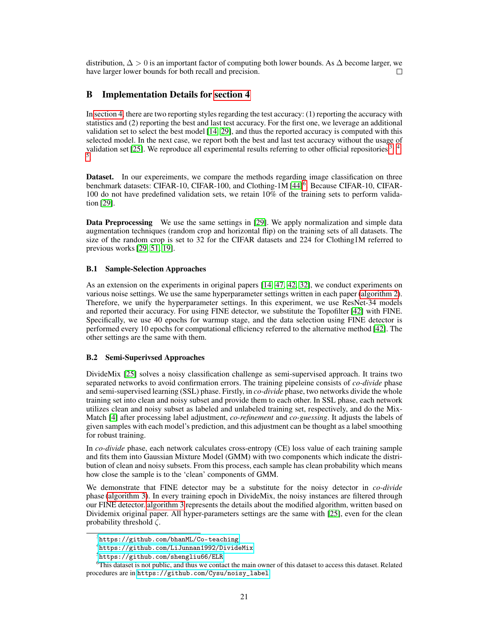<span id="page-7-0"></span>distribution,  $\Delta > 0$  is an important factor of computing both lower bounds. As  $\Delta$  become larger, we have larger lower bounds for both recall and precision.  $\Box$ 

# B Implementation Details for [section 4](#page-6-0)

In [section 4,](#page-6-0) there are two reporting styles regarding the test accuracy: (1) reporting the accuracy with statistics and (2) reporting the best and last test accuracy. For the first one, we leverage an additional validation set to select the best model [\[14, 29\]](#page-10-0), and thus the reported accuracy is computed with this selected model. In the next case, we report both the best and last test accuracy without the usage of validation set [\[25\]](#page-10-0). We reproduce all experimental results referring to other official repositories  $3, 4$ , 5 .

Dataset. In our expereiments, we compare the methods regarding image classification on three benchmark datasets: CIFAR-10, CIFAR-100, and Clothing-1M [\[44\]](#page-11-0)<sup>6</sup>. Because CIFAR-10, CIFAR-100 do not have predefined validation sets, we retain 10% of the training sets to perform validation [\[29\]](#page-10-0).

Data Preprocessing We use the same settings in [\[29\]](#page-10-0). We apply normalization and simple data augmentation techniques (random crop and horizontal flip) on the training sets of all datasets. The size of the random crop is set to 32 for the CIFAR datasets and 224 for Clothing1M referred to previous works [\[29,](#page-10-0) 51, [19\]](#page-10-0).

## B.1 Sample-Selection Approaches

As an extension on the experiments in original papers [\[14,](#page-10-0) [47, 42, 32\]](#page-11-0), we conduct experiments on various noise settings. We use the same hyperparameter settings written in each paper (algorithm 2). Therefore, we unify the hyperparameter settings. In this experiment, we use ResNet-34 models and reported their accuracy. For using FINE detector, we substitute the Topofilter [\[42\]](#page-11-0) with FINE. Specifically, we use 40 epochs for warmup stage, and the data selection using FINE detector is performed every 10 epochs for computational efficiency referred to the alternative method [\[42\]](#page-11-0). The other settings are the same with them.

#### B.2 Semi-Superivsed Approaches

DivideMix [\[25\]](#page-10-0) solves a noisy classification challenge as semi-supervised approach. It trains two separated networks to avoid confirmation errors. The training pipeleine consists of *co-divide* phase and semi-supervised learning (SSL) phase. Firstly, in *co-divide* phase, two networks divide the whole training set into clean and noisy subset and provide them to each other. In SSL phase, each network utilizes clean and noisy subset as labeled and unlabeled training set, respectively, and do the Mix-Match [\[4\]](#page-9-0) after processing label adjustment, *co-refinement* and *co-guessing*. It adjusts the labels of given samples with each model's prediction, and this adjustment can be thought as a label smoothing for robust training.

In *co-divide* phase, each network calculates cross-entropy (CE) loss value of each training sample and fits them into Gaussian Mixture Model (GMM) with two components which indicate the distribution of clean and noisy subsets. From this process, each sample has clean probability which means how close the sample is to the 'clean' components of GMM.

We demonstrate that FINE detector may be a substitute for the noisy detector in *co-divide* phase (algorithm 3). In every training epoch in DivideMix, the noisy instances are filtered through our FINE detector. algorithm 3 represents the details about the modified algorithm, written based on Dividemix original paper. All hyper-parameters settings are the same with [\[25\]](#page-10-0), even for the clean probability threshold  $\zeta$ .

 $^3$ <https://github.com/bhanML/Co-teaching>

<sup>4</sup> <https://github.com/LiJunnan1992/DivideMix>

<sup>5</sup> <https://github.com/shengliu66/ELR>

<sup>&</sup>lt;sup>6</sup>This dataset is not public, and thus we contact the main owner of this dataset to access this dataset. Related procedures are in [https://github.com/Cysu/noisy\\_label](https://github.com/Cysu/noisy_label).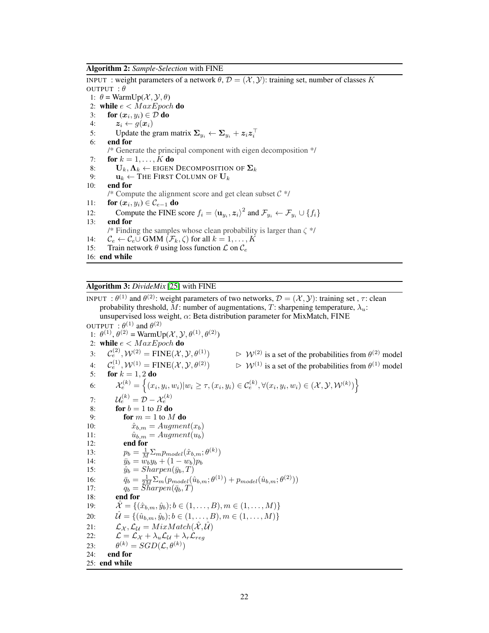<span id="page-8-0"></span>Algorithm 2: *Sample-Selection* with FINE

INPUT: weight parameters of a network  $\theta$ ,  $\mathcal{D} = (\mathcal{X}, \mathcal{Y})$ : training set, number of classes K OUTPUT :  $\theta$ 1:  $\theta = \text{WarmUp}(\mathcal{X}, \mathcal{Y}, \theta)$ 2: while  $e < MaxEpoch$  do 3: for  $(x_i, y_i) \in \mathcal{D}$  do 4:  $z_i \leftarrow g(x_i)$ 5: Update the gram matrix  $\Sigma_{y_i} \leftarrow \Sigma_{y_i} + z_i z_i^{\top}$ 6: end for /\* Generate the principal component with eigen decomposition \*/ 7: for  $k = 1, \ldots, K$  do 8:  $U_k, \Lambda_k \leftarrow$  EIGEN DECOMPOSITION OF  $\Sigma_k$ 9:  $\mathbf{u}_k \leftarrow \text{THE FIRST COLUTION OF } \mathbf{U}_k$ 10: end for /\* Compute the alignment score and get clean subset  $C \cdot \frac{1}{2}$ 11: **for**  $(\boldsymbol{x}_i, y_i) \in \mathcal{C}_{e-1}$  do 12: Compute the FINE score  $f_i = \langle \mathbf{u}_{y_i}, \mathbf{z}_i \rangle^2$  and  $\mathcal{F}_{y_i} \leftarrow \mathcal{F}_{y_i} \cup \{f_i\}$ 13: end for /\* Finding the samples whose clean probability is larger than  $\zeta$  \*/ 14:  $\mathcal{C}_e \leftarrow \mathcal{C}_e \cup \text{GMM} (\mathcal{F}_k, \zeta) \text{ for all } k = 1, \ldots, K$ 15: Train network  $\theta$  using loss function  $\mathcal L$  on  $\mathcal C_e$ 16: end while

Algorithm 3: *DivideMix* [\[25\]](#page-10-0) with FINE

INPUT :  $\theta^{(1)}$  and  $\theta^{(2)}$ : weight parameters of two networks,  $\mathcal{D} = (\mathcal{X}, \mathcal{Y})$ : training set ,  $\tau$ : clean probability threshold, M: number of augmentations, T: sharpening temperature,  $\lambda_u$ : unsupervised loss weight,  $\alpha$ : Beta distribution parameter for MixMatch, FINE OUTPUT  $: \theta^{(1)}$  and  $\theta^{(2)}$ 1:  $\theta^{(1)}$ ,  $\theta^{(2)}$  = WarmUp(X, Y,  $\theta^{(1)}$ ,  $\theta^{(2)}$ ) 2: while  $e < MaxEpoch$  do 3:  $\mathcal{C}^{(2)}_{e}$  $e^{(2)}$ ,  $W^{(2)} = \text{FINE}(\mathcal{X}, \mathcal{Y}, \theta^{(1)})$   $\Rightarrow$   $W^{(2)}$  is a set of the probabilities from  $\theta^{(2)}$  model  $4:$  $\mathcal{C}^{(1)}_{\epsilon}$ ,  $\mathcal{W}^{(1)}$  = FINE $(\mathcal{X}, \mathcal{Y}, \theta^{(2)})$  $e^{(1)}_e, \mathcal{W}^{(1)} = \text{FINE}(\mathcal{X}, \mathcal{Y}, \theta^{(2)}) \qquad \Rightarrow \mathcal{W}^{(1)}$  is a set of the probabilities from  $\theta^{(1)}$  model 5: for  $k = 1, 2$  do 6:  $\mathcal{X}_e^{(k)} = \left\{ (x_i, y_i, w_i) | w_i \ge \tau, (x_i, y_i) \in \mathcal{C}_e^{(k)}, \forall (x_i, y_i, w_i) \in (\mathcal{X}, \mathcal{Y}, \mathcal{W}^{(k)}) \right\}$ 7:  ${\cal U}_e^{(k)} = {\cal D} - {\cal X}_e^{(k)}$ 8: **for**  $b = 1$  to  $B$  **do** 9: **for**  $m = 1$  to  $M$  do 10:  $\hat{x}_{b,m} = Augment(x_b)$ <br>
11:  $\hat{u}_{b,m} = Augment(u_b)$ 11:  $\hat{u}_{b,m} = Augment(u_b)$ <br>12: **end for** end for 13:  $p_b = \frac{1}{M} \sum_m p_{model}(\hat{x}_{b,m}; \theta^{(k)})$ 14:  $\bar{y}_b = \ddot{w}_b y_b + (1 - w_b)p_b$ <br>
15:  $\hat{y}_b = Sharpen(\bar{y}_b, T)$  $\hat{y}_b = Sharpen(\bar{y}_b, T)$ 16:  $\bar{q}_b = \frac{1}{2M} \sum_m (p_{model}(\hat{u}_{b,m}; \theta^{(1)}) + p_{model}(\hat{u}_{b,m}; \theta^{(2)}))$ 17:  $q_b = \widetilde{Sharpen}(\bar{q}_b, T)$ 18: end for 19:  $\mathcal{X} = \{(\hat{x}_{b,m}, \hat{y}_b); b \in (1, \ldots, B), m \in (1, \ldots, M)\}\$ 20:  $\mathcal{U} = \{(\hat{u}_{b,m}, \hat{y}_b); b \in (1, \ldots, B), m \in (1, \ldots, M)\}\$ 21:  $\mathcal{L}_{\mathcal{X}}$ ,  $\mathcal{L}_{\mathcal{U}} = MixMatch(\hat{\mathcal{X}}, \hat{\mathcal{U}})$ <br>22:  $\mathcal{L} = \mathcal{L}_{\mathcal{X}} + \lambda_u \mathcal{L}_{\mathcal{U}} + \lambda_r \mathcal{L}_{req}$  $\mathcal{L} = \mathcal{L}_{\mathcal{X}} + \lambda_u \mathcal{L}_{\mathcal{U}} + \lambda_r \mathcal{L}_{reg}$ 23: θ  $\mathcal{L}^{(k)}=SGD(\mathcal{L},\theta^{(k)})$ 24: end for 25: end while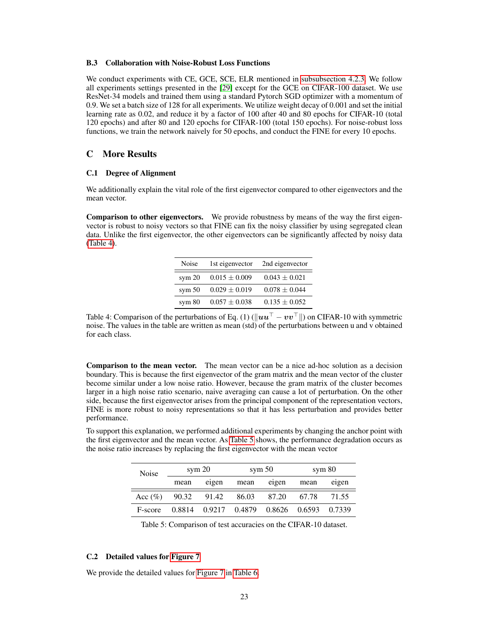#### <span id="page-9-0"></span>B.3 Collaboration with Noise-Robust Loss Functions

We conduct experiments with CE, GCE, SCE, ELR mentioned in [subsubsection 4.2.3.](#page-7-0) We follow all experiments settings presented in the [\[29\]](#page-10-0) except for the GCE on CIFAR-100 dataset. We use ResNet-34 models and trained them using a standard Pytorch SGD optimizer with a momentum of 0.9. We set a batch size of 128 for all experiments. We utilize weight decay of 0.001 and set the initial learning rate as 0.02, and reduce it by a factor of 100 after 40 and 80 epochs for CIFAR-10 (total 120 epochs) and after 80 and 120 epochs for CIFAR-100 (total 150 epochs). For noise-robust loss functions, we train the network naively for 50 epochs, and conduct the FINE for every 10 epochs.

# C More Results

## C.1 Degree of Alignment

We additionally explain the vital role of the first eigenvector compared to other eigenvectors and the mean vector.

Comparison to other eigenvectors. We provide robustness by means of the way the first eigenvector is robust to noisy vectors so that FINE can fix the noisy classifier by using segregated clean data. Unlike the first eigenvector, the other eigenvectors can be significantly affected by noisy data (Table 4).

| Noise    | 1st eigenvector   | 2nd eigenvector   |
|----------|-------------------|-------------------|
| sym $20$ | $0.015 \pm 0.009$ | $0.043 \pm 0.021$ |
| sym $50$ | $0.029 \pm 0.019$ | $0.078 \pm 0.044$ |
| sym $80$ | $0.057 \pm 0.038$ | $0.135 \pm 0.052$ |

Table 4: Comparison of the perturbations of Eq. (1) ( $\|\boldsymbol{u}\boldsymbol{u}^\top - \boldsymbol{v}\boldsymbol{v}^\top\|$ ) on CIFAR-10 with symmetric noise. The values in the table are written as mean (std) of the perturbations between u and v obtained for each class.

Comparison to the mean vector. The mean vector can be a nice ad-hoc solution as a decision boundary. This is because the first eigenvector of the gram matrix and the mean vector of the cluster become similar under a low noise ratio. However, because the gram matrix of the cluster becomes larger in a high noise ratio scenario, naive averaging can cause a lot of perturbation. On the other side, because the first eigenvector arises from the principal component of the representation vectors, FINE is more robust to noisy representations so that it has less perturbation and provides better performance.

To support this explanation, we performed additional experiments by changing the anchor point with the first eigenvector and the mean vector. As Table 5 shows, the performance degradation occurs as the noise ratio increases by replacing the first eigenvector with the mean vector

| <b>Noise</b> | sym $20$ |       | sym $50$ |                                           | sym $80$ |       |
|--------------|----------|-------|----------|-------------------------------------------|----------|-------|
|              | mean     | eigen |          | mean eigen                                | mean     | eigen |
| Acc $(\% )$  |          |       |          | 90.32 91.42 86.03 87.20 67.78             |          | 71.55 |
| F-score      |          |       |          | 0.8814 0.9217 0.4879 0.8626 0.6593 0.7339 |          |       |

Table 5: Comparison of test accuracies on the CIFAR-10 dataset.

#### C.2 Detailed values for [Figure 7](#page-8-0)

We provide the detailed values for [Figure 7](#page-8-0) in Table 6.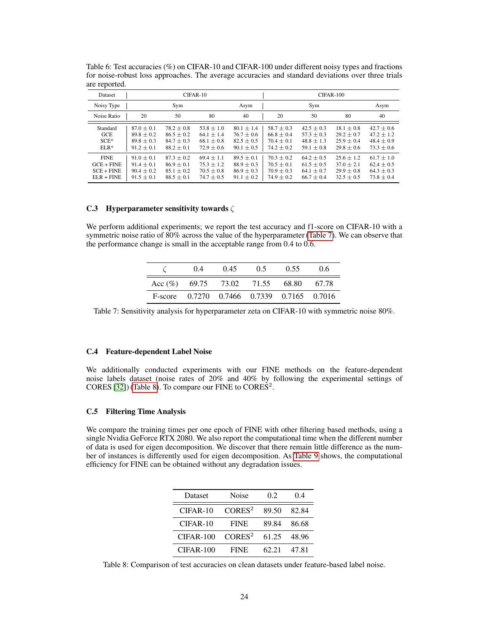| Dataset                                                     |                                                                    | CIFAR-10                                                             |                                                                    |                                                                    | CIFAR-100                                                            |                                                                  |                                                                |                                                                  |
|-------------------------------------------------------------|--------------------------------------------------------------------|----------------------------------------------------------------------|--------------------------------------------------------------------|--------------------------------------------------------------------|----------------------------------------------------------------------|------------------------------------------------------------------|----------------------------------------------------------------|------------------------------------------------------------------|
| Noisy Type                                                  |                                                                    | Sym                                                                  |                                                                    | Asym                                                               |                                                                      | Sym                                                              |                                                                | Asym                                                             |
| Noise Ratio                                                 | 20                                                                 | 50                                                                   | 80                                                                 | 40                                                                 | 20                                                                   | 50                                                               | 80                                                             | 40                                                               |
| Standard<br>GCE<br>$SCE*$<br>$ELR*$                         | $87.0 + 0.1$<br>$89.8 \pm 0.2$<br>$89.8 \pm 0.3$<br>$91.2 \pm 0.1$ | $78.2 \pm 0.8$<br>$86.5 \pm 0.2$<br>$84.7 \pm 0.3$<br>$88.2 \pm 0.1$ | $53.8 \pm 1.0$<br>$64.1 \pm 1.4$<br>$68.1 \pm 0.8$<br>$72.9 + 0.6$ | $80.1 \pm 1.4$<br>$76.7 \pm 0.6$<br>$82.5 \pm 0.5$<br>$90.1 + 0.5$ | $58.7 \pm 0.3$<br>$66.8 \pm 0.4$<br>$70.4 \pm 0.1$<br>$74.2 \pm 0.2$ | $42.5 + 0.3$<br>$57.3 \pm 0.3$<br>$48.8 \pm 1.3$<br>$59.1 + 0.8$ | $18.1 + 0.8$<br>$29.2 + 0.7$<br>$25.9 \pm 0.4$<br>$29.8 + 0.6$ | $42.7 + 0.6$<br>$47.2 + 1.2$<br>$48.4 \pm 0.9$<br>$73.3 \pm 0.6$ |
| <b>FINE</b><br>$GCE + FINE$<br>$SCE + FINE$<br>$ELR + FINE$ | $91.0 + 0.1$<br>$91.4 + 0.1$<br>$90.4 \pm 0.2$<br>$91.5 + 0.1$     | $87.3 \pm 0.2$<br>$86.9 + 0.1$<br>$85.1 \pm 0.2$<br>$88.5 + 0.1$     | $69.4 \pm 1.1$<br>$75.3 + 1.2$<br>$70.5 \pm 0.8$<br>$74.7 + 0.5$   | $89.5 \pm 0.1$<br>$88.9 + 0.3$<br>$86.9 \pm 0.3$<br>$91.1 \pm 0.2$ | $70.3 \pm 0.2$<br>$70.5 + 0.1$<br>$70.9 + 0.3$<br>$74.9 + 0.2$       | $64.2 \pm 0.5$<br>$61.5 + 0.5$<br>$64.1 \pm 0.7$<br>$66.7 + 0.4$ | $25.6 \pm 1.2$<br>$37.0 + 2.1$<br>$29.9 + 0.8$<br>$32.5 + 0.5$ | $61.7 \pm 1.0$<br>$62.4 + 0.5$<br>$64.3 + 0.3$<br>$73.8 + 0.4$   |

<span id="page-10-0"></span>Table 6: Test accuracies (%) on CIFAR-10 and CIFAR-100 under different noisy types and fractions for noise-robust loss approaches. The average accuracies and standard deviations over three trials are reported.

## C.3 Hyperparameter sensitivity towards ζ

We perform additional experiments; we report the test accuracy and f1-score on CIFAR-10 with a symmetric noise ratio of 80% across the value of the hyperparameter (Table 7). We can observe that the performance change is small in the acceptable range from 0.4 to 0.6.

|                              | (14) | 0.45 | 0.5 | 0.55                               | 0.6   |
|------------------------------|------|------|-----|------------------------------------|-------|
| Acc $(\%)$ 69.75 73.02 71.55 |      |      |     | 68.80                              | 67.78 |
| F-score                      |      |      |     | 0.7270 0.7466 0.7339 0.7165 0.7016 |       |

Table 7: Sensitivity analysis for hyperparameter zeta on CIFAR-10 with symmetric noise 80%.

# C.4 Feature-dependent Label Noise

We additionally conducted experiments with our FINE methods on the feature-dependent noise labels dataset (noise rates of 20% and 40% by following the experimental settings of CORES [\[32\]](#page-11-0)) (Table 8). To compare our FINE to CORES<sup>2</sup>.

#### C.5 Filtering Time Analysis

We compare the training times per one epoch of FINE with other filtering based methods, using a single Nvidia GeForce RTX 2080. We also report the computational time when the different number of data is used for eigen decomposition. We discover that there remain little difference as the number of instances is differently used for eigen decomposition. As Table 9 shows, the computational efficiency for FINE can be obtained without any degradation issues.

| Dataset   | Noise              | 02    | 04    |
|-----------|--------------------|-------|-------|
| CIFAR-10  | CORES <sup>2</sup> | 89.50 | 82.84 |
| CIFAR-10  | <b>FINE</b>        | 89.84 | 86.68 |
| CIFAR-100 | CORES <sup>2</sup> | 61.25 | 48.96 |
| CIFAR-100 | <b>FINE</b>        | 62.21 | 47.81 |

Table 8: Comparison of test accuracies on clean datasets under feature-based label noise.